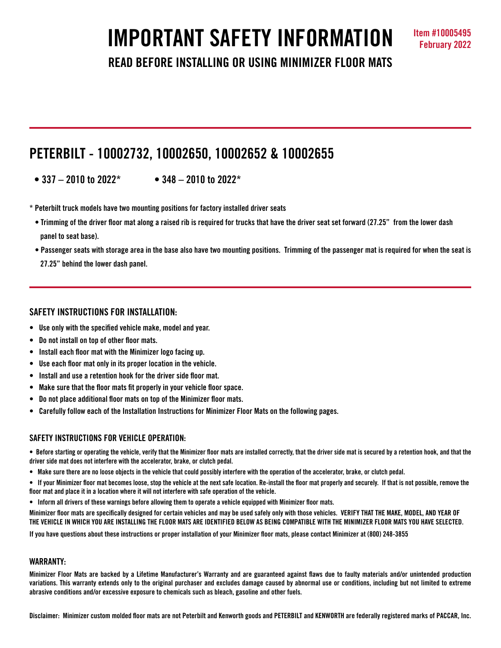# **IMPORTANT SAFETY INFORMATION Item #10005495**

**READ BEFORE INSTALLING OR USING MINIMIZER FLOOR MATS**

# **PETERBILT - 10002732, 10002650, 10002652 & 10002655**

- **337 2010 to 2022\* 348 2010 to 2022\***
- **\* Peterbilt truck models have two mounting positions for factory installed driver seats**
- **Trimming of the driver floor mat along a raised rib is required for trucks that have the driver seat set forward (27.25" from the lower dash panel to seat base).**
- **Passenger seats with storage area in the base also have two mounting positions. Trimming of the passenger mat is required for when the seat is** 
	- **27.25" behind the lower dash panel.**

# **SAFETY INSTRUCTIONS FOR INSTALLATION:**

- **Use only with the specified vehicle make, model and year.**
- **Do not install on top of other floor mats.**
- **Install each floor mat with the Minimizer logo facing up.**
- **Use each floor mat only in its proper location in the vehicle.**
- **Install and use a retention hook for the driver side floor mat.**
- **Make sure that the floor mats fit properly in your vehicle floor space.**
- **Do not place additional floor mats on top of the Minimizer floor mats.**
- **Carefully follow each of the Installation Instructions for Minimizer Floor Mats on the following pages.**

# **SAFFTY INSTRUCTIONS FOR VEHICLE OPERATION:**

**• Before starting or operating the vehicle, verify that the Minimizer floor mats are installed correctly, that the driver side mat is secured by a retention hook, and that the driver side mat does not interfere with the accelerator, brake, or clutch pedal.**

- **Make sure there are no loose objects in the vehicle that could possibly interfere with the operation of the accelerator, brake, or clutch pedal.**
- **If your Minimizer floor mat becomes loose, stop the vehicle at the next safe location. Re-install the floor mat properly and securely. If that is not possible, remove the floor mat and place it in a location where it will not interfere with safe operation of the vehicle.**
- **Inform all drivers of these warnings before allowing them to operate a vehicle equipped with Minimizer floor mats.**

**Minimizer floor mats are specifically designed for certain vehicles and may be used safely only with those vehicles. VERIFY THAT THE MAKE, MODEL, AND YEAR OF THE VEHICLE IN WHICH YOU ARE INSTALLING THE FLOOR MATS ARE IDENTIFIED BELOW AS BEING COMPATIBLE WITH THE MINIMIZER FLOOR MATS YOU HAVE SELECTED.** 

**If you have questions about these instructions or proper installation of your Minimizer floor mats, please contact Minimizer at (800) 248-3855**

### **WARRANTY:**

**Minimizer Floor Mats are backed by a Lifetime Manufacturer's Warranty and are guaranteed against flaws due to faulty materials and/or unintended production variations. This warranty extends only to the original purchaser and excludes damage caused by abnormal use or conditions, including but not limited to extreme abrasive conditions and/or excessive exposure to chemicals such as bleach, gasoline and other fuels.**

**Disclaimer: Minimizer custom molded floor mats are not Peterbilt and Kenworth goods and PETERBILT and KENWORTH are federally registered marks of PACCAR, Inc.**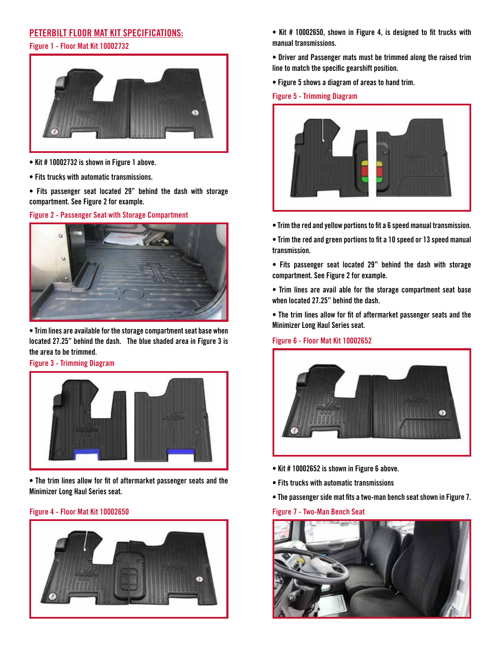# **PETERBILT FLOOR MAT KIT SPECIFICATIONS:**

#### **Figure 1 - Floor Mat Kit 10002732**



- **Kit # 10002732 is shown in Figure 1 above.**
- **Fits trucks with automatic transmissions.**
- **Fits passenger seat located 29" behind the dash with storage compartment. See Figure 2 for example.**

**Figure 2 - Passenger Seat with Storage Compartment**



**• Trim lines are available for the storage compartment seat base when located 27.25" behind the dash. The blue shaded area in Figure 3 is the area to be trimmed.**

**Figure 3 - Trimming Diagram**



**• The trim lines allow for fit of aftermarket passenger seats and the Minimizer Long Haul Series seat.** 

#### **Figure 4 - Floor Mat Kit 10002650**



- **Kit # 10002650, shown in Figure 4, is designed to fit trucks with manual transmissions.**
- **Driver and Passenger mats must be trimmed along the raised trim line to match the specific gearshift position.**
- **Figure 5 shows a diagram of areas to hand trim.**

#### **Figure 5 - Trimming Diagram**



- **Trim the red and yellow portions to fit a 6 speed manual transmission.**
- **Trim the red and green portions to fit a 10 speed or 13 speed manual transmission.**
- **Fits passenger seat located 29" behind the dash with storage compartment. See Figure 2 for example.**

**• Trim lines are avail able for the storage compartment seat base when located 27.25" behind the dash.** 

**• The trim lines allow for fit of aftermarket passenger seats and the Minimizer Long Haul Series seat.** 

#### **Figure 6 - Floor Mat Kit 10002652**



- **Kit # 10002652 is shown in Figure 6 above.**
- **Fits trucks with automatic transmissions**
- **The passenger side mat fits a two-man bench seat shown in Figure 7.**

**Figure 7 - Two-Man Bench Seat**

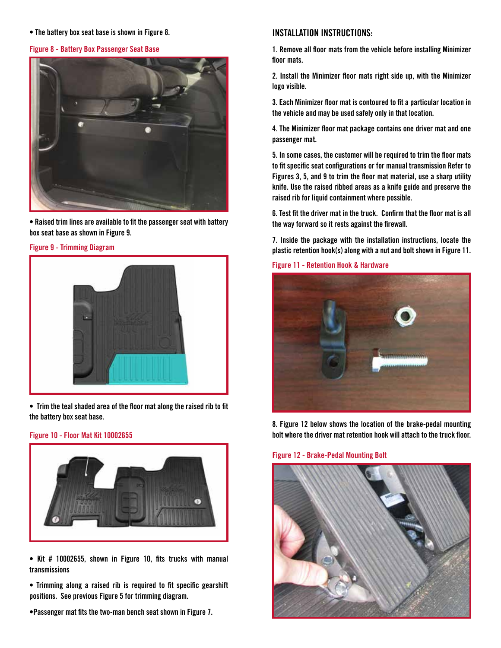**• The battery box seat base is shown in Figure 8.** 

#### **Figure 8 - Battery Box Passenger Seat Base**



**• Raised trim lines are available to fit the passenger seat with battery box seat base as shown in Figure 9.**



**Figure 9 - Trimming Diagram**

**• Trim the teal shaded area of the floor mat along the raised rib to fit the battery box seat base.**

#### **Figure 10 - Floor Mat Kit 10002655**



**• Kit # 10002655, shown in Figure 10, fits trucks with manual transmissions**

**• Trimming along a raised rib is required to fit specific gearshift positions. See previous Figure 5 for trimming diagram.** 

**•Passenger mat fits the two-man bench seat shown in Figure 7.** 

## **INSTALLATION INSTRUCTIONS:**

**1. Remove all floor mats from the vehicle before installing Minimizer floor mats.**

**2. Install the Minimizer floor mats right side up, with the Minimizer logo visible.**

**3. Each Minimizer floor mat is contoured to fit a particular location in the vehicle and may be used safely only in that location.**

**4. The Minimizer floor mat package contains one driver mat and one passenger mat.**

**5. In some cases, the customer will be required to trim the floor mats to fit specific seat configurations or for manual transmission Refer to Figures 3, 5, and 9 to trim the floor mat material, use a sharp utility knife. Use the raised ribbed areas as a knife guide and preserve the raised rib for liquid containment where possible.** 

**6. Test fit the driver mat in the truck. Confirm that the floor mat is all the way forward so it rests against the firewall.** 

**7. Inside the package with the installation instructions, locate the plastic retention hook(s) along with a nut and bolt shown in Figure 11.**

#### **Figure 11 - Retention Hook & Hardware**



**8. Figure 12 below shows the location of the brake-pedal mounting bolt where the driver mat retention hook will attach to the truck floor.**

#### **Figure 12 - Brake-Pedal Mounting Bolt**